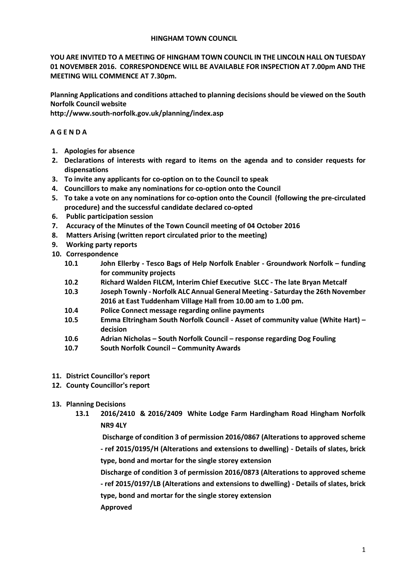## **HINGHAM TOWN COUNCIL**

**YOU ARE INVITED TO A MEETING OF HINGHAM TOWN COUNCIL IN THE LINCOLN HALL ON TUESDAY 01 NOVEMBER 2016. CORRESPONDENCE WILL BE AVAILABLE FOR INSPECTION AT 7.00pm AND THE MEETING WILL COMMENCE AT 7.30pm.** 

**Planning Applications and conditions attached to planning decisions should be viewed on the South Norfolk Council website** 

**http://www.south-norfolk.gov.uk/planning/index.asp**

# **A G E N D A**

- **1. Apologies for absence**
- **2. Declarations of interests with regard to items on the agenda and to consider requests for dispensations**
- **3. To invite any applicants for co-option on to the Council to speak**
- **4. Councillors to make any nominations for co-option onto the Council**
- **5. To take a vote on any nominations for co-option onto the Council (following the pre-circulated procedure) and the successful candidate declared co-opted**
- **6. Public participation session**
- **7. Accuracy of the Minutes of the Town Council meeting of 04 October 2016**
- **8. Matters Arising (written report circulated prior to the meeting)**
- **9. Working party reports**
- **10. Correspondence** 
	- **10.1 John Ellerby - Tesco Bags of Help Norfolk Enabler - Groundwork Norfolk – funding for community projects**
	- **10.2 Richard Walden FILCM, Interim Chief Executive SLCC - The late Bryan Metcalf**
	- **10.3 Joseph Townly - Norfolk ALC Annual General Meeting - Saturday the 26th November 2016 at East Tuddenham Village Hall from 10.00 am to 1.00 pm.**
	- **10.4 Police Connect message regarding online payments**
	- **10.5 Emma Eltringham South Norfolk Council - Asset of community value (White Hart) – decision**
	- **10.6 Adrian Nicholas – South Norfolk Council – response regarding Dog Fouling**
	- **10.7 South Norfolk Council – Community Awards**
- **11. District Councillor's report**
- **12. County Councillor's report**
- **13. Planning Decisions**
	- **13.1 2016/2410 & 2016/2409 White Lodge Farm Hardingham Road Hingham Norfolk NR9 4LY**

**Discharge of condition 3 of permission 2016/0867 (Alterations to approved scheme - ref 2015/0195/H (Alterations and extensions to dwelling) - Details of slates, brick type, bond and mortar for the single storey extension** 

**Discharge of condition 3 of permission 2016/0873 (Alterations to approved scheme - ref 2015/0197/LB (Alterations and extensions to dwelling) - Details of slates, brick type, bond and mortar for the single storey extension** 

**Approved**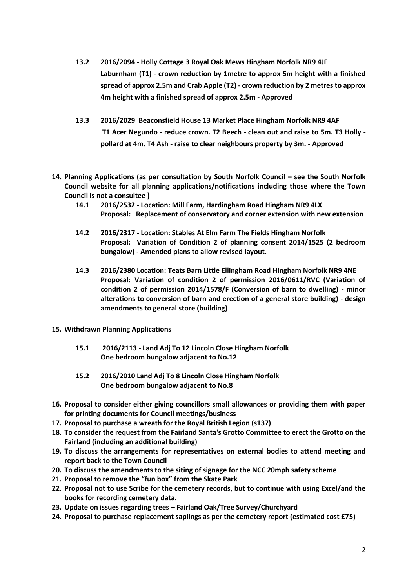- **13.2 2016/2094 - Holly Cottage 3 Royal Oak Mews Hingham Norfolk NR9 4JF Laburnham (T1) - crown reduction by 1metre to approx 5m height with a finished spread of approx 2.5m and Crab Apple (T2) - crown reduction by 2 metres to approx 4m height with a finished spread of approx 2.5m - Approved**
- **13.3 2016/2029 Beaconsfield House 13 Market Place Hingham Norfolk NR9 4AF T1 Acer Negundo - reduce crown. T2 Beech - clean out and raise to 5m. T3 Holly pollard at 4m. T4 Ash - raise to clear neighbours property by 3m. - Approved**
- **14. Planning Applications (as per consultation by South Norfolk Council – see the South Norfolk Council website for all planning applications/notifications including those where the Town Council is not a consultee )**
	- **14.1 2016/2532 - Location: Mill Farm, Hardingham Road Hingham NR9 4LX Proposal: Replacement of conservatory and corner extension with new extension**
	- **14.2 2016/2317 - Location: Stables At Elm Farm The Fields Hingham Norfolk Proposal: Variation of Condition 2 of planning consent 2014/1525 (2 bedroom bungalow) - Amended plans to allow revised layout.**
	- **14.3 2016/2380 Location: Teats Barn Little Ellingham Road Hingham Norfolk NR9 4NE Proposal: Variation of condition 2 of permission 2016/0611/RVC (Variation of condition 2 of permission 2014/1578/F (Conversion of barn to dwelling) - minor alterations to conversion of barn and erection of a general store building) - design amendments to general store (building)**
- **15. Withdrawn Planning Applications**
	- **15.1 2016/2113 - Land Adj To 12 Lincoln Close Hingham Norfolk One bedroom bungalow adjacent to No.12**
	- **15.2 2016/2010 Land Adj To 8 Lincoln Close Hingham Norfolk One bedroom bungalow adjacent to No.8**
- **16. Proposal to consider either giving councillors small allowances or providing them with paper for printing documents for Council meetings/business**
- **17. Proposal to purchase a wreath for the Royal British Legion (s137)**
- **18. To consider the request from the Fairland Santa's Grotto Committee to erect the Grotto on the Fairland (including an additional building)**
- **19. To discuss the arrangements for representatives on external bodies to attend meeting and report back to the Town Council**
- **20. To discuss the amendments to the siting of signage for the NCC 20mph safety scheme**
- **21. Proposal to remove the "fun box" from the Skate Park**
- **22. Proposal not to use Scribe for the cemetery records, but to continue with using Excel/and the books for recording cemetery data.**
- **23. Update on issues regarding trees – Fairland Oak/Tree Survey/Churchyard**
- **24. Proposal to purchase replacement saplings as per the cemetery report (estimated cost £75)**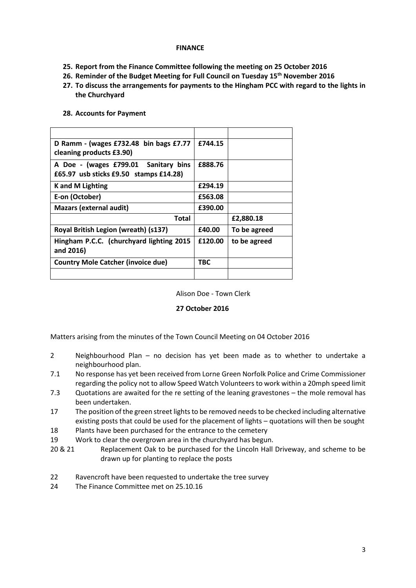## **FINANCE**

- **25. Report from the Finance Committee following the meeting on 25 October 2016**
- **26. Reminder of the Budget Meeting for Full Council on Tuesday 15th November 2016**
- **27. To discuss the arrangements for payments to the Hingham PCC with regard to the lights in the Churchyard**

# **D Ramm - (wages £732.48 bin bags £7.77 cleaning products £3.90) £744.15 A Doe - (wages £799.01 Sanitary bins £65.97 usb sticks £9.50 stamps £14.28) £888.76 K and M Lighting £294.19 E-on (October) £563.08 Mazars (external audit) £390.00 Total £2,880.18 Royal British Legion (wreath) (s137) £40.00 To be agreed Hingham P.C.C. (churchyard lighting 2015 and 2016) £120.00 to be agreed Country Mole Catcher (invoice due) TBC**

#### **28. Accounts for Payment**

Alison Doe - Town Clerk

# **27 October 2016**

Matters arising from the minutes of the Town Council Meeting on 04 October 2016

- 2 Neighbourhood Plan no decision has yet been made as to whether to undertake a neighbourhood plan.
- 7.1 No response has yet been received from Lorne Green Norfolk Police and Crime Commissioner regarding the policy not to allow Speed Watch Volunteers to work within a 20mph speed limit
- 7.3 Quotations are awaited for the re setting of the leaning gravestones the mole removal has been undertaken.
- 17 The position of the green street lights to be removed needs to be checked including alternative existing posts that could be used for the placement of lights – quotations will then be sought
- 18 Plants have been purchased for the entrance to the cemetery
- 19 Work to clear the overgrown area in the churchyard has begun.
- 20 & 21 Replacement Oak to be purchased for the Lincoln Hall Driveway, and scheme to be drawn up for planting to replace the posts
- 22 Ravencroft have been requested to undertake the tree survey
- 24 The Finance Committee met on 25 10 16